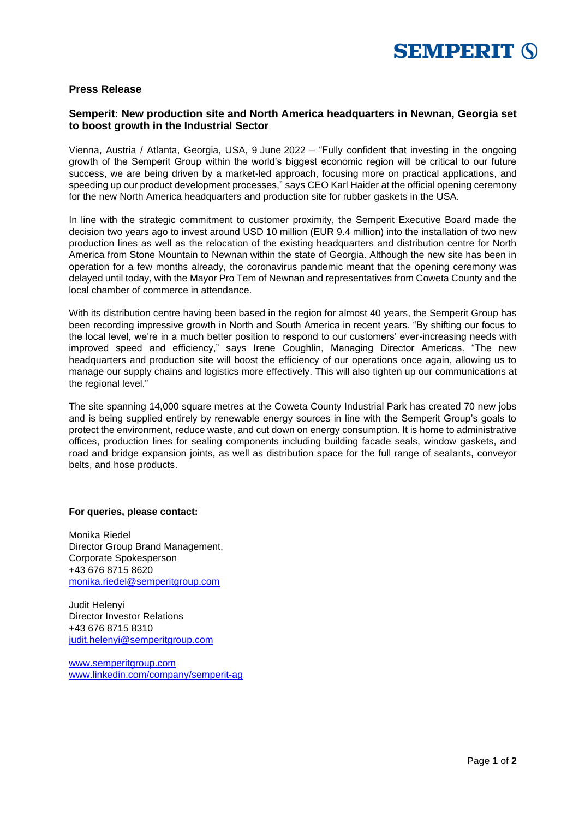

## **Press Release**

## **Semperit: New production site and North America headquarters in Newnan, Georgia set to boost growth in the Industrial Sector**

Vienna, Austria / Atlanta, Georgia, USA, 9 June 2022 – "Fully confident that investing in the ongoing growth of the Semperit Group within the world's biggest economic region will be critical to our future success, we are being driven by a market-led approach, focusing more on practical applications, and speeding up our product development processes," says CEO Karl Haider at the official opening ceremony for the new North America headquarters and production site for rubber gaskets in the USA.

In line with the strategic commitment to customer proximity, the Semperit Executive Board made the decision two years ago to invest around USD 10 million (EUR 9.4 million) into the installation of two new production lines as well as the relocation of the existing headquarters and distribution centre for North America from Stone Mountain to Newnan within the state of Georgia. Although the new site has been in operation for a few months already, the coronavirus pandemic meant that the opening ceremony was delayed until today, with the Mayor Pro Tem of Newnan and representatives from Coweta County and the local chamber of commerce in attendance.

With its distribution centre having been based in the region for almost 40 years, the Semperit Group has been recording impressive growth in North and South America in recent years. "By shifting our focus to the local level, we're in a much better position to respond to our customers' ever-increasing needs with improved speed and efficiency," says Irene Coughlin, Managing Director Americas. "The new headquarters and production site will boost the efficiency of our operations once again, allowing us to manage our supply chains and logistics more effectively. This will also tighten up our communications at the regional level."

The site spanning 14,000 square metres at the Coweta County Industrial Park has created 70 new jobs and is being supplied entirely by renewable energy sources in line with the Semperit Group's goals to protect the environment, reduce waste, and cut down on energy consumption. It is home to administrative offices, production lines for sealing components including building facade seals, window gaskets, and road and bridge expansion joints, as well as distribution space for the full range of sealants, conveyor belts, and hose products.

## **For queries, please contact:**

Monika Riedel Director Group Brand Management, Corporate Spokesperson +43 676 8715 8620 [monika.riedel@semperitgroup.com](mailto:monika.riedel@semperitgroup.com)

Judit Helenyi Director Investor Relations +43 676 8715 8310 [judit.helenyi@semperitgroup.com](mailto:judit.helenyi@semperitgroup.com)

[www.semperitgroup.com](http://www.semperitgroup.com/) [www.linkedin.com/company/semperit-ag](http://www.linkedin.com/company/semperit-ag)